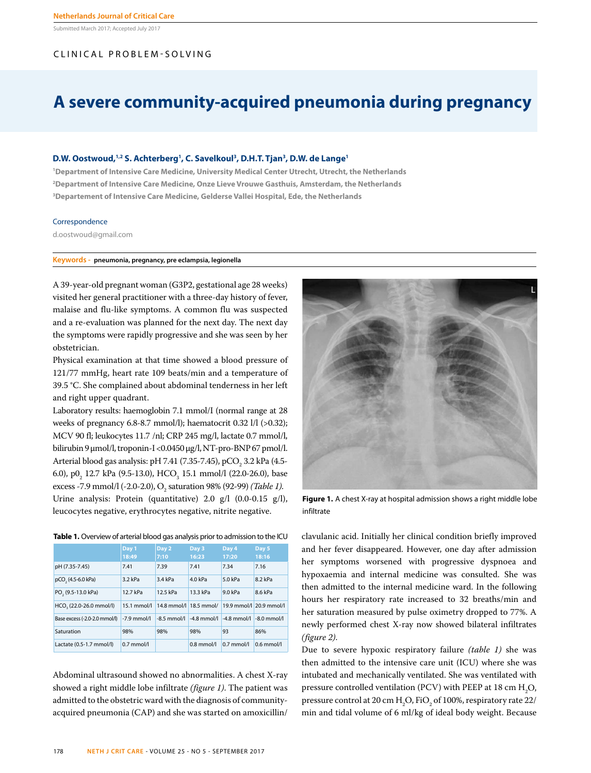Submitted March 2017; Accepted July 2017

# CLINICAL PROBLEM-SOLVING

# **A severe community-acquired pneumonia during pregnancy**

## **D.W. Oostwoud,1,2 S. Achterberg1 , C. Savelkoul3 , D.H.T. Tjan3 , D.W. de Lange1**

**1 Department of Intensive Care Medicine, University Medical Center Utrecht, Utrecht, the Netherlands 2 Department of Intensive Care Medicine, Onze Lieve Vrouwe Gasthuis, Amsterdam, the Netherlands 3 Departement of Intensive Care Medicine, Gelderse Vallei Hospital, Ede, the Netherlands**

#### Correspondence

d.oostwoud@gmail.com

# **Keywords - pneumonia, pregnancy, pre eclampsia, legionella**

A 39-year-old pregnant woman (G3P2, gestational age 28 weeks) visited her general practitioner with a three-day history of fever, malaise and flu-like symptoms. A common flu was suspected and a re-evaluation was planned for the next day. The next day the symptoms were rapidly progressive and she was seen by her obstetrician.

Physical examination at that time showed a blood pressure of 121/77 mmHg, heart rate 109 beats/min and a temperature of 39.5 °C. She complained about abdominal tenderness in her left and right upper quadrant.

Laboratory results: haemoglobin 7.1 mmol/I (normal range at 28 weeks of pregnancy 6.8-8.7 mmol/l); haematocrit 0.32 l/l (>0.32); MCV 90 fl; leukocytes 11.7 /nl; CRP 245 mg/l, lactate 0.7 mmol/l, bilirubin 9 µmol/l, troponin-I <0.0450 µg/l, NT-pro-BNP 67 pmol/l. Arterial blood gas analysis: pH 7.41 (7.35-7.45), pCO $\rm _2$  3.2 kPa (4.5-6.0),  $p0_2$  12.7 kPa (9.5-13.0), HCO<sub>3</sub> 15.1 mmol/l (22.0-26.0), base excess -7.9 mmol/l (-2.0-2.0), O<sub>2</sub> saturation 98% (92-99) *(Table 1)*. Urine analysis: Protein (quantitative) 2.0 g/l (0.0-0.15 g/l), leucocytes negative, erythrocytes negative, nitrite negative.



|                                     | Day 1         | Day 2                  | Day 3        | Day 4                                  | Day 5        |
|-------------------------------------|---------------|------------------------|--------------|----------------------------------------|--------------|
|                                     | 18:49         | 7:10                   | 16:23        | 17:20                                  | 18:16        |
| pH (7.35-7.45)                      | 7.41          | 7.39                   | 7.41         | 7.34                                   | 7.16         |
| pCO <sub>2</sub> (4.5-6.0 kPa)      | $3.2$ kPa     | 3.4 kPa                | 4.0 kPa      | 5.0 kPa                                | 8.2 kPa      |
| PO <sub>3</sub> (9.5-13.0 kPa)      | 12.7 kPa      | 12.5 kPa               | 13.3 kPa     | 9.0 kPa                                | 8.6 kPa      |
| HCO <sub>2</sub> (22.0-26.0 mmol/l) | $15.1$ mmol/l | 14.8 mmol/l 18.5 mmol/ |              | 19.9 mmol/l 20.9 mmol/l                |              |
| Base excess (-2.0-2.0 mmol/l)       | $-7.9$ mmol/l | $-8.5$ mmol/l          |              | $-4.8$ mmol/ $-4.8$ mmol/ $-8.0$ mmol/ |              |
| Saturation                          | 98%           | 98%                    | 98%          | 93                                     | 86%          |
| Lactate (0.5-1.7 mmol/l)            | $0.7$ mmol/l  |                        | $0.8$ mmol/l | $0.7$ mmol/l                           | $0.6$ mmol/l |

Abdominal ultrasound showed no abnormalities. A chest X-ray showed a right middle lobe infiltrate *(figure 1)*. The patient was admitted to the obstetric ward with the diagnosis of communityacquired pneumonia (CAP) and she was started on amoxicillin/



**Figure 1.** A chest X-ray at hospital admission shows a right middle lobe infiltrate

clavulanic acid. Initially her clinical condition briefly improved and her fever disappeared. However, one day after admission her symptoms worsened with progressive dyspnoea and hypoxaemia and internal medicine was consulted. She was then admitted to the internal medicine ward. In the following hours her respiratory rate increased to 32 breaths/min and her saturation measured by pulse oximetry dropped to 77%. A newly performed chest X-ray now showed bilateral infiltrates *(figure 2)*.

Due to severe hypoxic respiratory failure *(table 1)* she was then admitted to the intensive care unit (ICU) where she was intubated and mechanically ventilated. She was ventilated with pressure controlled ventilation (PCV) with PEEP at 18 cm  $\rm H_2O$ , pressure control at 20 cm  $\rm H_2O$ , FiO<sub>2</sub> of 100%, respiratory rate 22/ min and tidal volume of 6 ml/kg of ideal body weight. Because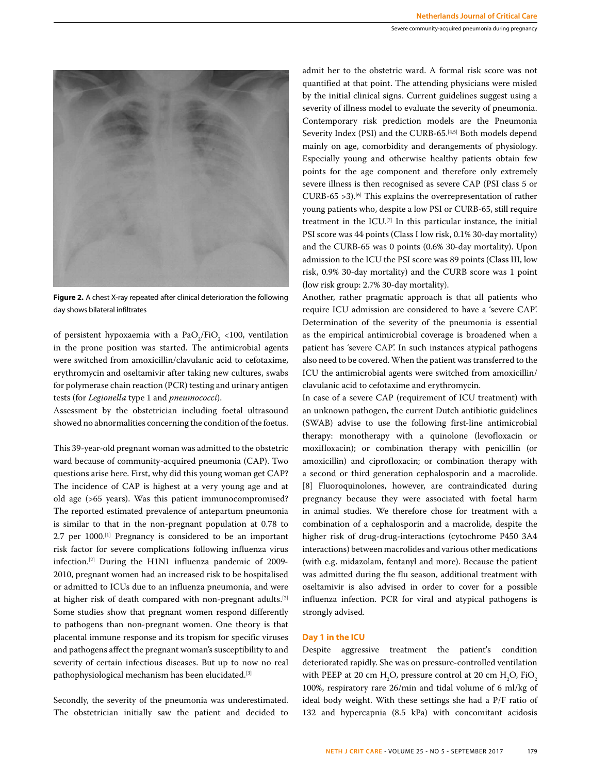

**Figure 2.** A chest X-ray repeated after clinical deterioration the following day shows bilateral infiltrates

of persistent hypoxaemia with a  $PaO_2/FiO_2$  <100, ventilation in the prone position was started. The antimicrobial agents were switched from amoxicillin/clavulanic acid to cefotaxime, erythromycin and oseltamivir after taking new cultures, swabs for polymerase chain reaction (PCR) testing and urinary antigen tests (for *Legionella* type 1 and *pneumococci*).

Assessment by the obstetrician including foetal ultrasound showed no abnormalities concerning the condition of the foetus.

This 39-year-old pregnant woman was admitted to the obstetric ward because of community-acquired pneumonia (CAP). Two questions arise here. First, why did this young woman get CAP? The incidence of CAP is highest at a very young age and at old age (>65 years). Was this patient immunocompromised? The reported estimated prevalence of antepartum pneumonia is similar to that in the non-pregnant population at 0.78 to 2.7 per 1000.<sup>[1]</sup> Pregnancy is considered to be an important risk factor for severe complications following influenza virus infection.[2] During the H1N1 influenza pandemic of 2009- 2010, pregnant women had an increased risk to be hospitalised or admitted to ICUs due to an influenza pneumonia, and were at higher risk of death compared with non-pregnant adults.[2] Some studies show that pregnant women respond differently to pathogens than non-pregnant women. One theory is that placental immune response and its tropism for specific viruses and pathogens affect the pregnant woman's susceptibility to and severity of certain infectious diseases. But up to now no real pathophysiological mechanism has been elucidated.[3]

Secondly, the severity of the pneumonia was underestimated. The obstetrician initially saw the patient and decided to

admit her to the obstetric ward. A formal risk score was not quantified at that point. The attending physicians were misled by the initial clinical signs. Current guidelines suggest using a severity of illness model to evaluate the severity of pneumonia. Contemporary risk prediction models are the Pneumonia Severity Index (PSI) and the CURB-65.[4,5] Both models depend mainly on age, comorbidity and derangements of physiology. Especially young and otherwise healthy patients obtain few points for the age component and therefore only extremely severe illness is then recognised as severe CAP (PSI class 5 or CURB-65  $>3$ ).<sup>[6]</sup> This explains the overrepresentation of rather young patients who, despite a low PSI or CURB-65, still require treatment in the ICU.<sup>[7]</sup> In this particular instance, the initial PSI score was 44 points (Class I low risk, 0.1% 30-day mortality) and the CURB-65 was 0 points (0.6% 30-day mortality). Upon admission to the ICU the PSI score was 89 points (Class III, low risk, 0.9% 30-day mortality) and the CURB score was 1 point (low risk group: 2.7% 30-day mortality).

Another, rather pragmatic approach is that all patients who require ICU admission are considered to have a 'severe CAP'. Determination of the severity of the pneumonia is essential as the empirical antimicrobial coverage is broadened when a patient has 'severe CAP'. In such instances atypical pathogens also need to be covered. When the patient was transferred to the ICU the antimicrobial agents were switched from amoxicillin/ clavulanic acid to cefotaxime and erythromycin.

In case of a severe CAP (requirement of ICU treatment) with an unknown pathogen, the current Dutch antibiotic guidelines (SWAB) advise to use the following first-line antimicrobial therapy: monotherapy with a quinolone (levofloxacin or moxifloxacin); or combination therapy with penicillin (or amoxicillin) and ciprofloxacin; or combination therapy with a second or third generation cephalosporin and a macrolide. [8] Fluoroquinolones, however, are contraindicated during pregnancy because they were associated with foetal harm in animal studies. We therefore chose for treatment with a combination of a cephalosporin and a macrolide, despite the higher risk of drug-drug-interactions (cytochrome P450 3A4 interactions) between macrolides and various other medications (with e.g. midazolam, fentanyl and more). Because the patient was admitted during the flu season, additional treatment with oseltamivir is also advised in order to cover for a possible influenza infection. PCR for viral and atypical pathogens is strongly advised.

# **Day 1 in the ICU**

Despite aggressive treatment the patient's condition deteriorated rapidly. She was on pressure-controlled ventilation with PEEP at 20 cm  $H_2O$ , pressure control at 20 cm  $H_2O$ , FiO<sub>2</sub> 100%, respiratory rare 26/min and tidal volume of 6 ml/kg of ideal body weight. With these settings she had a P/F ratio of 132 and hypercapnia (8.5 kPa) with concomitant acidosis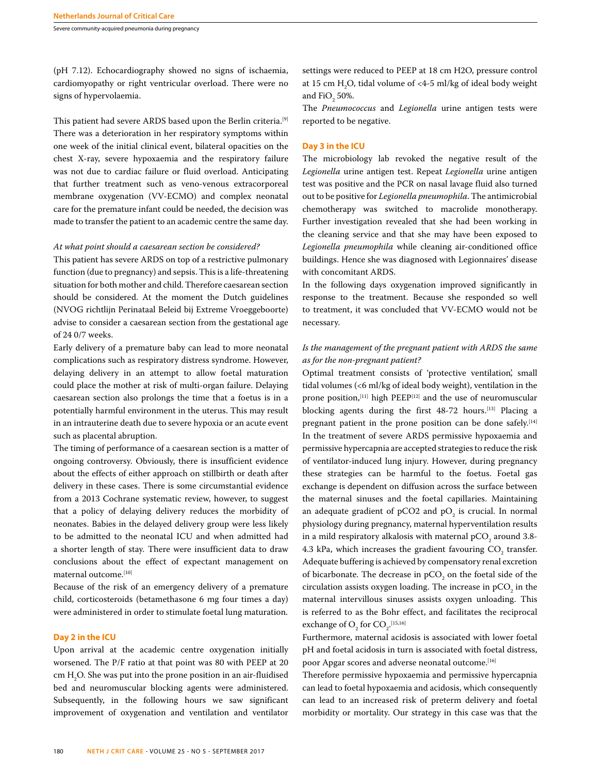Severe community-acquired pneumonia during pregnancy

(pH 7.12). Echocardiography showed no signs of ischaemia, cardiomyopathy or right ventricular overload. There were no signs of hypervolaemia.

This patient had severe ARDS based upon the Berlin criteria.<sup>[9]</sup> There was a deterioration in her respiratory symptoms within one week of the initial clinical event, bilateral opacities on the chest X-ray, severe hypoxaemia and the respiratory failure was not due to cardiac failure or fluid overload. Anticipating that further treatment such as veno-venous extracorporeal membrane oxygenation (VV-ECMO) and complex neonatal care for the premature infant could be needed, the decision was made to transfer the patient to an academic centre the same day.

## *At what point should a caesarean section be considered?*

This patient has severe ARDS on top of a restrictive pulmonary function (due to pregnancy) and sepsis. This is a life-threatening situation for both mother and child. Therefore caesarean section should be considered. At the moment the Dutch guidelines (NVOG richtlijn Perinataal Beleid bij Extreme Vroeggeboorte) advise to consider a caesarean section from the gestational age of 24 0/7 weeks.

Early delivery of a premature baby can lead to more neonatal complications such as respiratory distress syndrome. However, delaying delivery in an attempt to allow foetal maturation could place the mother at risk of multi-organ failure. Delaying caesarean section also prolongs the time that a foetus is in a potentially harmful environment in the uterus. This may result in an intrauterine death due to severe hypoxia or an acute event such as placental abruption.

The timing of performance of a caesarean section is a matter of ongoing controversy. Obviously, there is insufficient evidence about the effects of either approach on stillbirth or death after delivery in these cases. There is some circumstantial evidence from a 2013 Cochrane systematic review, however, to suggest that a policy of delaying delivery reduces the morbidity of neonates. Babies in the delayed delivery group were less likely to be admitted to the neonatal ICU and when admitted had a shorter length of stay. There were insufficient data to draw conclusions about the effect of expectant management on maternal outcome.[10]

Because of the risk of an emergency delivery of a premature child, corticosteroids (betamethasone 6 mg four times a day) were administered in order to stimulate foetal lung maturation.

# **Day 2 in the ICU**

Upon arrival at the academic centre oxygenation initially worsened. The P/F ratio at that point was 80 with PEEP at 20  $\text{cm H}_{2}$ O. She was put into the prone position in an air-fluidised bed and neuromuscular blocking agents were administered. Subsequently, in the following hours we saw significant improvement of oxygenation and ventilation and ventilator

settings were reduced to PEEP at 18 cm H2O, pressure control at 15 cm  $H_2O$ , tidal volume of <4-5 ml/kg of ideal body weight and  $FiO_2$  50%.

The *Pneumococcus* and *Legionella* urine antigen tests were reported to be negative.

#### **Day 3 in the ICU**

The microbiology lab revoked the negative result of the *Legionella* urine antigen test. Repeat *Legionella* urine antigen test was positive and the PCR on nasal lavage fluid also turned out to be positive for *Legionella pneumophila*. The antimicrobial chemotherapy was switched to macrolide monotherapy. Further investigation revealed that she had been working in the cleaning service and that she may have been exposed to *Legionella pneumophila* while cleaning air-conditioned office buildings. Hence she was diagnosed with Legionnaires' disease with concomitant ARDS.

In the following days oxygenation improved significantly in response to the treatment. Because she responded so well to treatment, it was concluded that VV-ECMO would not be necessary.

# *Is the management of the pregnant patient with ARDS the same as for the non-pregnant patient?*

Optimal treatment consists of 'protective ventilation', small tidal volumes (<6 ml/kg of ideal body weight), ventilation in the prone position,<sup>[11]</sup> high PEEP<sup>[12]</sup> and the use of neuromuscular blocking agents during the first 48-72 hours.[13] Placing a pregnant patient in the prone position can be done safely.<sup>[14]</sup> In the treatment of severe ARDS permissive hypoxaemia and permissive hypercapnia are accepted strategies to reduce the risk of ventilator-induced lung injury. However, during pregnancy these strategies can be harmful to the foetus. Foetal gas exchange is dependent on diffusion across the surface between the maternal sinuses and the foetal capillaries. Maintaining an adequate gradient of  $pCO2$  and  $pO<sub>2</sub>$  is crucial. In normal physiology during pregnancy, maternal hyperventilation results in a mild respiratory alkalosis with maternal p $\mathrm{CO}_2^{}$  around 3.8-4.3 kPa, which increases the gradient favouring  $\mathrm{CO}_2$  transfer. Adequate buffering is achieved by compensatory renal excretion of bicarbonate. The decrease in  $pCO<sub>2</sub>$  on the foetal side of the circulation assists oxygen loading. The increase in  $pCO<sub>2</sub>$  in the maternal intervillous sinuses assists oxygen unloading. This is referred to as the Bohr effect, and facilitates the reciprocal exchange of  $O_2$  for  $CO_2$ <sup>.[15,16]</sup>

Furthermore, maternal acidosis is associated with lower foetal pH and foetal acidosis in turn is associated with foetal distress, poor Apgar scores and adverse neonatal outcome.<sup>[16]</sup>

Therefore permissive hypoxaemia and permissive hypercapnia can lead to foetal hypoxaemia and acidosis, which consequently can lead to an increased risk of preterm delivery and foetal morbidity or mortality. Our strategy in this case was that the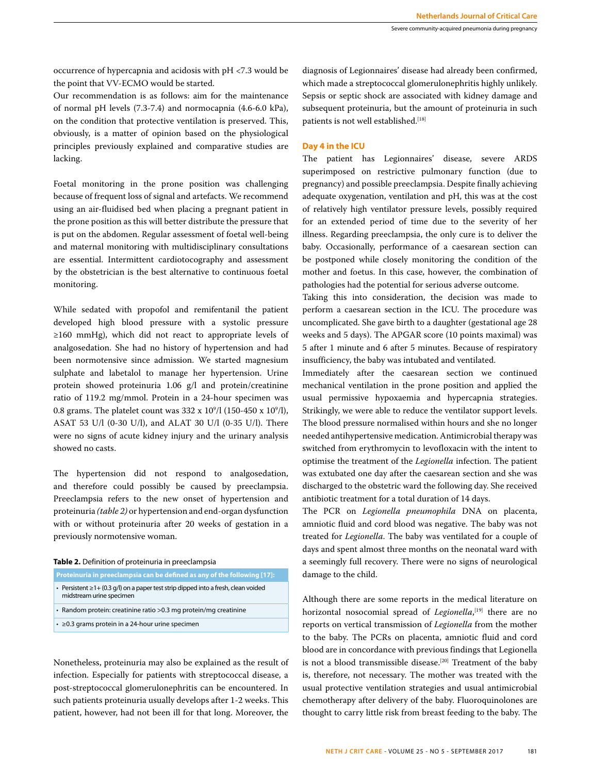occurrence of hypercapnia and acidosis with pH <7.3 would be the point that VV-ECMO would be started.

Our recommendation is as follows: aim for the maintenance of normal pH levels (7.3-7.4) and normocapnia (4.6-6.0 kPa), on the condition that protective ventilation is preserved. This, obviously, is a matter of opinion based on the physiological principles previously explained and comparative studies are lacking.

Foetal monitoring in the prone position was challenging because of frequent loss of signal and artefacts. We recommend using an air-fluidised bed when placing a pregnant patient in the prone position as this will better distribute the pressure that is put on the abdomen. Regular assessment of foetal well-being and maternal monitoring with multidisciplinary consultations are essential. Intermittent cardiotocography and assessment by the obstetrician is the best alternative to continuous foetal monitoring.

While sedated with propofol and remifentanil the patient developed high blood pressure with a systolic pressure ≥160 mmHg), which did not react to appropriate levels of analgosedation. She had no history of hypertension and had been normotensive since admission. We started magnesium sulphate and labetalol to manage her hypertension. Urine protein showed proteinuria 1.06 g/l and protein/creatinine ratio of 119.2 mg/mmol. Protein in a 24-hour specimen was 0.8 grams. The platelet count was  $332 \times 10^9/\text{l}$  (150-450 x 10<sup>9</sup>/l), ASAT 53 U/l (0-30 U/l), and ALAT 30 U/l (0-35 U/l). There were no signs of acute kidney injury and the urinary analysis showed no casts.

The hypertension did not respond to analgosedation, and therefore could possibly be caused by preeclampsia. Preeclampsia refers to the new onset of hypertension and proteinuria *(table 2)* or hypertension and end-organ dysfunction with or without proteinuria after 20 weeks of gestation in a previously normotensive woman.

## **Table 2.** Definition of proteinuria in preeclampsia

- **Proteinuria in preeclampsia can be defined as any of the following [17]:**
- Persistent ≥1+ (0.3 g/l) on a paper test strip dipped into a fresh, clean voided
- midstream urine specimen
- Random protein: creatinine ratio >0.3 mg protein/mg creatinine
- ≥0.3 grams protein in a 24-hour urine specimen

Nonetheless, proteinuria may also be explained as the result of infection. Especially for patients with streptococcal disease, a post-streptococcal glomerulonephritis can be encountered. In such patients proteinuria usually develops after 1-2 weeks. This patient, however, had not been ill for that long. Moreover, the diagnosis of Legionnaires' disease had already been confirmed, which made a streptococcal glomerulonephritis highly unlikely. Sepsis or septic shock are associated with kidney damage and subsequent proteinuria, but the amount of proteinuria in such patients is not well established.[18]

## **Day 4 in the ICU**

The patient has Legionnaires' disease, severe ARDS superimposed on restrictive pulmonary function (due to pregnancy) and possible preeclampsia. Despite finally achieving adequate oxygenation, ventilation and pH, this was at the cost of relatively high ventilator pressure levels, possibly required for an extended period of time due to the severity of her illness. Regarding preeclampsia, the only cure is to deliver the baby. Occasionally, performance of a caesarean section can be postponed while closely monitoring the condition of the mother and foetus. In this case, however, the combination of pathologies had the potential for serious adverse outcome.

Taking this into consideration, the decision was made to perform a caesarean section in the ICU. The procedure was uncomplicated. She gave birth to a daughter (gestational age 28 weeks and 5 days). The APGAR score (10 points maximal) was 5 after 1 minute and 6 after 5 minutes. Because of respiratory insufficiency, the baby was intubated and ventilated.

Immediately after the caesarean section we continued mechanical ventilation in the prone position and applied the usual permissive hypoxaemia and hypercapnia strategies. Strikingly, we were able to reduce the ventilator support levels. The blood pressure normalised within hours and she no longer needed antihypertensive medication. Antimicrobial therapy was switched from erythromycin to levofloxacin with the intent to optimise the treatment of the *Legionella* infection. The patient was extubated one day after the caesarean section and she was discharged to the obstetric ward the following day. She received antibiotic treatment for a total duration of 14 days.

The PCR on *Legionella pneumophila* DNA on placenta, amniotic fluid and cord blood was negative. The baby was not treated for *Legionella*. The baby was ventilated for a couple of days and spent almost three months on the neonatal ward with a seemingly full recovery. There were no signs of neurological damage to the child.

Although there are some reports in the medical literature on horizontal nosocomial spread of *Legionella*, [19] there are no reports on vertical transmission of *Legionella* from the mother to the baby. The PCRs on placenta, amniotic fluid and cord blood are in concordance with previous findings that Legionella is not a blood transmissible disease.<sup>[20]</sup> Treatment of the baby is, therefore, not necessary. The mother was treated with the usual protective ventilation strategies and usual antimicrobial chemotherapy after delivery of the baby. Fluoroquinolones are thought to carry little risk from breast feeding to the baby. The